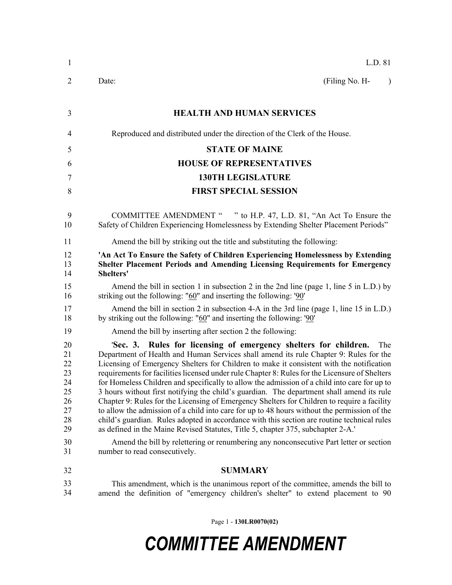| $\mathbf{1}$                                                         | L.D. 81                                                                                                                                                                                                                                                                                                                                                                                                                                                                                                                                                                                                                                                                                                                                                                                                                                                                                                                                                                                                                                                                  |
|----------------------------------------------------------------------|--------------------------------------------------------------------------------------------------------------------------------------------------------------------------------------------------------------------------------------------------------------------------------------------------------------------------------------------------------------------------------------------------------------------------------------------------------------------------------------------------------------------------------------------------------------------------------------------------------------------------------------------------------------------------------------------------------------------------------------------------------------------------------------------------------------------------------------------------------------------------------------------------------------------------------------------------------------------------------------------------------------------------------------------------------------------------|
| $\overline{2}$                                                       | (Filing No. H-<br>Date:<br>$\lambda$                                                                                                                                                                                                                                                                                                                                                                                                                                                                                                                                                                                                                                                                                                                                                                                                                                                                                                                                                                                                                                     |
| 3                                                                    | <b>HEALTH AND HUMAN SERVICES</b>                                                                                                                                                                                                                                                                                                                                                                                                                                                                                                                                                                                                                                                                                                                                                                                                                                                                                                                                                                                                                                         |
| 4                                                                    | Reproduced and distributed under the direction of the Clerk of the House.                                                                                                                                                                                                                                                                                                                                                                                                                                                                                                                                                                                                                                                                                                                                                                                                                                                                                                                                                                                                |
| 5                                                                    | <b>STATE OF MAINE</b>                                                                                                                                                                                                                                                                                                                                                                                                                                                                                                                                                                                                                                                                                                                                                                                                                                                                                                                                                                                                                                                    |
| 6                                                                    | <b>HOUSE OF REPRESENTATIVES</b>                                                                                                                                                                                                                                                                                                                                                                                                                                                                                                                                                                                                                                                                                                                                                                                                                                                                                                                                                                                                                                          |
| 7                                                                    | <b>130TH LEGISLATURE</b>                                                                                                                                                                                                                                                                                                                                                                                                                                                                                                                                                                                                                                                                                                                                                                                                                                                                                                                                                                                                                                                 |
| 8                                                                    | <b>FIRST SPECIAL SESSION</b>                                                                                                                                                                                                                                                                                                                                                                                                                                                                                                                                                                                                                                                                                                                                                                                                                                                                                                                                                                                                                                             |
| 9<br>10                                                              | COMMITTEE AMENDMENT " " to H.P. 47, L.D. 81, "An Act To Ensure the<br>Safety of Children Experiencing Homelessness by Extending Shelter Placement Periods"                                                                                                                                                                                                                                                                                                                                                                                                                                                                                                                                                                                                                                                                                                                                                                                                                                                                                                               |
| 11                                                                   | Amend the bill by striking out the title and substituting the following:                                                                                                                                                                                                                                                                                                                                                                                                                                                                                                                                                                                                                                                                                                                                                                                                                                                                                                                                                                                                 |
| 12<br>13<br>14                                                       | 'An Act To Ensure the Safety of Children Experiencing Homelessness by Extending<br>Shelter Placement Periods and Amending Licensing Requirements for Emergency<br>Shelters'                                                                                                                                                                                                                                                                                                                                                                                                                                                                                                                                                                                                                                                                                                                                                                                                                                                                                              |
| 15<br>16                                                             | Amend the bill in section 1 in subsection 2 in the 2nd line (page 1, line 5 in L.D.) by<br>striking out the following: " $60$ " and inserting the following: ' $90$ "                                                                                                                                                                                                                                                                                                                                                                                                                                                                                                                                                                                                                                                                                                                                                                                                                                                                                                    |
| 17<br>18                                                             | Amend the bill in section 2 in subsection 4-A in the 3rd line (page 1, line 15 in L.D.)<br>by striking out the following: " $60$ " and inserting the following: ' $90$ "                                                                                                                                                                                                                                                                                                                                                                                                                                                                                                                                                                                                                                                                                                                                                                                                                                                                                                 |
| 19                                                                   | Amend the bill by inserting after section 2 the following:                                                                                                                                                                                                                                                                                                                                                                                                                                                                                                                                                                                                                                                                                                                                                                                                                                                                                                                                                                                                               |
| 20<br>21<br>22<br>23<br>24<br>25<br>26<br>27<br>28<br>29<br>30<br>31 | 'Sec. 3. Rules for licensing of emergency shelters for children.<br>The<br>Department of Health and Human Services shall amend its rule Chapter 9: Rules for the<br>Licensing of Emergency Shelters for Children to make it consistent with the notification<br>requirements for facilities licensed under rule Chapter 8: Rules for the Licensure of Shelters<br>for Homeless Children and specifically to allow the admission of a child into care for up to<br>3 hours without first notifying the child's guardian. The department shall amend its rule<br>Chapter 9: Rules for the Licensing of Emergency Shelters for Children to require a facility<br>to allow the admission of a child into care for up to 48 hours without the permission of the<br>child's guardian. Rules adopted in accordance with this section are routine technical rules<br>as defined in the Maine Revised Statutes, Title 5, chapter 375, subchapter 2-A.'<br>Amend the bill by relettering or renumbering any nonconsecutive Part letter or section<br>number to read consecutively. |
| 32                                                                   | <b>SUMMARY</b>                                                                                                                                                                                                                                                                                                                                                                                                                                                                                                                                                                                                                                                                                                                                                                                                                                                                                                                                                                                                                                                           |
| 33<br>34                                                             | This amendment, which is the unanimous report of the committee, amends the bill to<br>amend the definition of "emergency children's shelter" to extend placement to 90                                                                                                                                                                                                                                                                                                                                                                                                                                                                                                                                                                                                                                                                                                                                                                                                                                                                                                   |

Page 1 - **130LR0070(02)**

## *COMMITTEE AMENDMENT*